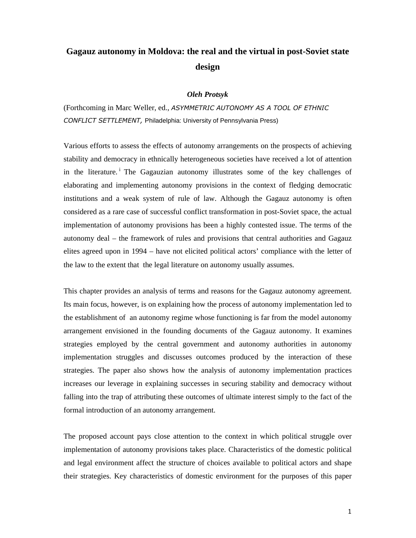# **Gagauz autonomy in Moldova: the real and the virtual in post-Soviet state design**

## *Oleh Protsyk*

(Forthcoming in Marc Weller, ed., ASYMMETRIC AUTONOMY AS A TOOL OF ETHNIC CONFLICT SETTLEMENT, Philadelphia: University of Pennsylvania Press)

Various efforts to assess the effects of autonomy arrangements on the prospects of achieving stability and democracy in ethnically heterogeneous societies have received a lot of attention in the literature.<sup>i</sup> The Gagauzian autonomy illustrates some of the key challenges of elaborating and implementing autonomy provisions in the context of fledging democratic institutions and a weak system of rule of law. Although the Gagauz autonomy is often considered as a rare case of successful conflict transformation in post-Soviet space, the actual implementation of autonomy provisions has been a highly contested issue. The terms of the autonomy deal – the framework of rules and provisions that central authorities and Gagauz elites agreed upon in 1994 – have not elicited political actors' compliance with the letter of the law to the extent that the legal literature on autonomy usually assumes.

This chapter provides an analysis of terms and reasons for the Gagauz autonomy agreement. Its main focus, however, is on explaining how the process of autonomy implementation led to the establishment of an autonomy regime whose functioning is far from the model autonomy arrangement envisioned in the founding documents of the Gagauz autonomy. It examines strategies employed by the central government and autonomy authorities in autonomy implementation struggles and discusses outcomes produced by the interaction of these strategies. The paper also shows how the analysis of autonomy implementation practices increases our leverage in explaining successes in securing stability and democracy without falling into the trap of attributing these outcomes of ultimate interest simply to the fact of the formal introduction of an autonomy arrangement.

The proposed account pays close attention to the context in which political struggle over implementation of autonomy provisions takes place. Characteristics of the domestic political and legal environment affect the structure of choices available to political actors and shape their strategies. Key characteristics of domestic environment for the purposes of this paper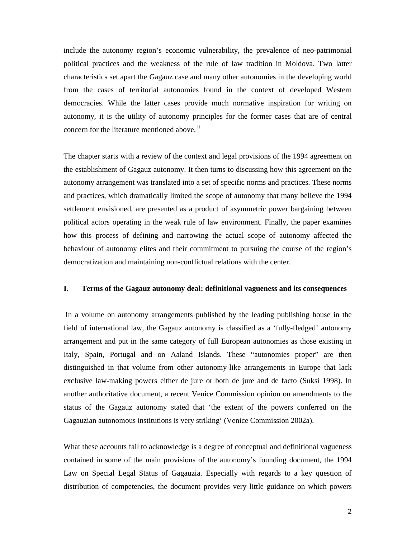include the autonomy region's economic vulnerability, the prevalence of neo-patrimonial political practices and the weakness of the rule of law tradition in Moldova. Two latter characteristics set apart the Gagauz case and many other autonomies in the developing world from the cases of territorial autonomies found in the context of developed Western democracies. While the latter cases provide much normative inspiration for writing on autonomy, it is the utility of autonomy principles for the former cases that are of central concern for the literature mentioned above.<sup>ii</sup>

The chapter starts with a review of the context and legal provisions of the 1994 agreement on the establishment of Gagauz autonomy. It then turns to discussing how this agreement on the autonomy arrangement was translated into a set of specific norms and practices. These norms and practices, which dramatically limited the scope of autonomy that many believe the 1994 settlement envisioned, are presented as a product of asymmetric power bargaining between political actors operating in the weak rule of law environment. Finally, the paper examines how this process of defining and narrowing the actual scope of autonomy affected the behaviour of autonomy elites and their commitment to pursuing the course of the region's democratization and maintaining non-conflictual relations with the center.

# **I. Terms of the Gagauz autonomy deal: definitional vagueness and its consequences**

In a volume on autonomy arrangements published by the leading publishing house in the field of international law, the Gagauz autonomy is classified as a 'fully-fledged' autonomy arrangement and put in the same category of full European autonomies as those existing in Italy, Spain, Portugal and on Aaland Islands. These "autonomies proper" are then distinguished in that volume from other autonomy-like arrangements in Europe that lack exclusive law-making powers either de jure or both de jure and de facto (Suksi 1998). In another authoritative document, a recent Venice Commission opinion on amendments to the status of the Gagauz autonomy stated that 'the extent of the powers conferred on the Gagauzian autonomous institutions is very striking' (Venice Commission 2002a).

What these accounts fail to acknowledge is a degree of conceptual and definitional vagueness contained in some of the main provisions of the autonomy's founding document, the 1994 Law on Special Legal Status of Gagauzia. Especially with regards to a key question of distribution of competencies, the document provides very little guidance on which powers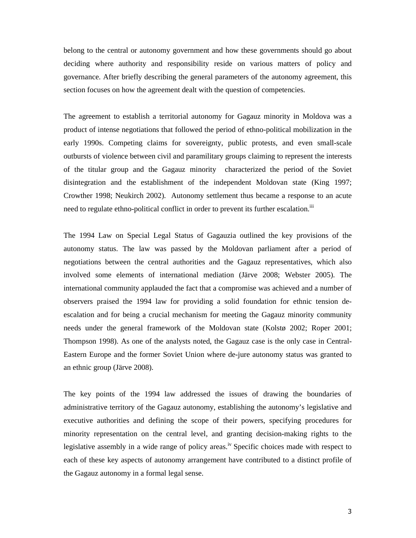belong to the central or autonomy government and how these governments should go about deciding where authority and responsibility reside on various matters of policy and governance. After briefly describing the general parameters of the autonomy agreement, this section focuses on how the agreement dealt with the question of competencies.

The agreement to establish a territorial autonomy for Gagauz minority in Moldova was a product of intense negotiations that followed the period of ethno-political mobilization in the early 1990s. Competing claims for sovereignty, public protests, and even small-scale outbursts of violence between civil and paramilitary groups claiming to represent the interests of the titular group and the Gagauz minority characterized the period of the Soviet disintegration and the establishment of the independent Moldovan state (King 1997; Crowther 1998; Neukirch 2002). Autonomy settlement thus became a response to an acute need to regulate ethno-political conflict in order to prevent its further escalation.<sup>iii</sup>

The 1994 Law on Special Legal Status of Gagauzia outlined the key provisions of the autonomy status. The law was passed by the Moldovan parliament after a period of negotiations between the central authorities and the Gagauz representatives, which also involved some elements of international mediation (Järve 2008; Webster 2005). The international community applauded the fact that a compromise was achieved and a number of observers praised the 1994 law for providing a solid foundation for ethnic tension deescalation and for being a crucial mechanism for meeting the Gagauz minority community needs under the general framework of the Moldovan state (Kolstø 2002; Roper 2001; Thompson 1998). As one of the analysts noted, the Gagauz case is the only case in Central-Eastern Europe and the former Soviet Union where de-jure autonomy status was granted to an ethnic group (Järve 2008).

The key points of the 1994 law addressed the issues of drawing the boundaries of administrative territory of the Gagauz autonomy, establishing the autonomy's legislative and executive authorities and defining the scope of their powers, specifying procedures for minority representation on the central level, and granting decision-making rights to the legislative assembly in a wide range of policy areas.<sup>iv</sup> Specific choices made with respect to each of these key aspects of autonomy arrangement have contributed to a distinct profile of the Gagauz autonomy in a formal legal sense.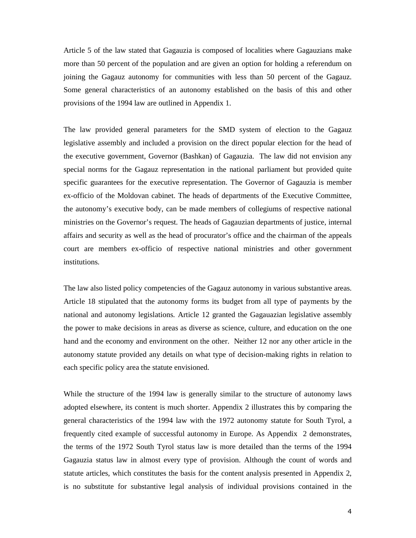Article 5 of the law stated that Gagauzia is composed of localities where Gagauzians make more than 50 percent of the population and are given an option for holding a referendum on joining the Gagauz autonomy for communities with less than 50 percent of the Gagauz. Some general characteristics of an autonomy established on the basis of this and other provisions of the 1994 law are outlined in Appendix 1.

The law provided general parameters for the SMD system of election to the Gagauz legislative assembly and included a provision on the direct popular election for the head of the executive government, Governor (Bashkan) of Gagauzia. The law did not envision any special norms for the Gagauz representation in the national parliament but provided quite specific guarantees for the executive representation. The Governor of Gagauzia is member ex-officio of the Moldovan cabinet. The heads of departments of the Executive Committee, the autonomy's executive body, can be made members of collegiums of respective national ministries on the Governor's request. The heads of Gagauzian departments of justice, internal affairs and security as well as the head of procurator's office and the chairman of the appeals court are members ex-officio of respective national ministries and other government institutions.

The law also listed policy competencies of the Gagauz autonomy in various substantive areas. Article 18 stipulated that the autonomy forms its budget from all type of payments by the national and autonomy legislations. Article 12 granted the Gagauazian legislative assembly the power to make decisions in areas as diverse as science, culture, and education on the one hand and the economy and environment on the other. Neither 12 nor any other article in the autonomy statute provided any details on what type of decision-making rights in relation to each specific policy area the statute envisioned.

While the structure of the 1994 law is generally similar to the structure of autonomy laws adopted elsewhere, its content is much shorter. Appendix 2 illustrates this by comparing the general characteristics of the 1994 law with the 1972 autonomy statute for South Tyrol, a frequently cited example of successful autonomy in Europe. As Appendix 2 demonstrates, the terms of the 1972 South Tyrol status law is more detailed than the terms of the 1994 Gagauzia status law in almost every type of provision. Although the count of words and statute articles, which constitutes the basis for the content analysis presented in Appendix 2, is no substitute for substantive legal analysis of individual provisions contained in the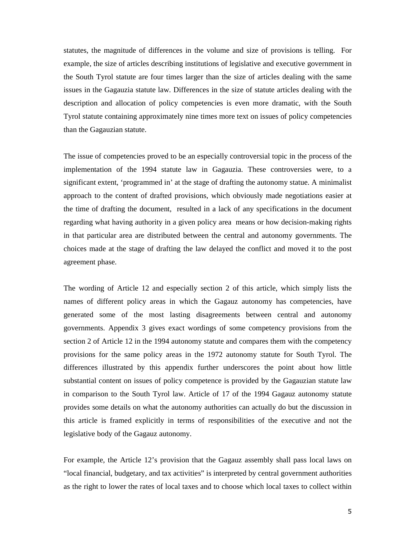statutes, the magnitude of differences in the volume and size of provisions is telling. For example, the size of articles describing institutions of legislative and executive government in the South Tyrol statute are four times larger than the size of articles dealing with the same issues in the Gagauzia statute law. Differences in the size of statute articles dealing with the description and allocation of policy competencies is even more dramatic, with the South Tyrol statute containing approximately nine times more text on issues of policy competencies than the Gagauzian statute.

The issue of competencies proved to be an especially controversial topic in the process of the implementation of the 1994 statute law in Gagauzia. These controversies were, to a significant extent, 'programmed in' at the stage of drafting the autonomy statue. A minimalist approach to the content of drafted provisions, which obviously made negotiations easier at the time of drafting the document, resulted in a lack of any specifications in the document regarding what having authority in a given policy area means or how decision-making rights in that particular area are distributed between the central and autonomy governments. The choices made at the stage of drafting the law delayed the conflict and moved it to the post agreement phase.

The wording of Article 12 and especially section 2 of this article, which simply lists the names of different policy areas in which the Gagauz autonomy has competencies, have generated some of the most lasting disagreements between central and autonomy governments. Appendix 3 gives exact wordings of some competency provisions from the section 2 of Article 12 in the 1994 autonomy statute and compares them with the competency provisions for the same policy areas in the 1972 autonomy statute for South Tyrol. The differences illustrated by this appendix further underscores the point about how little substantial content on issues of policy competence is provided by the Gagauzian statute law in comparison to the South Tyrol law. Article of 17 of the 1994 Gagauz autonomy statute provides some details on what the autonomy authorities can actually do but the discussion in this article is framed explicitly in terms of responsibilities of the executive and not the legislative body of the Gagauz autonomy.

For example, the Article 12's provision that the Gagauz assembly shall pass local laws on "local financial, budgetary, and tax activities" is interpreted by central government authorities as the right to lower the rates of local taxes and to choose which local taxes to collect within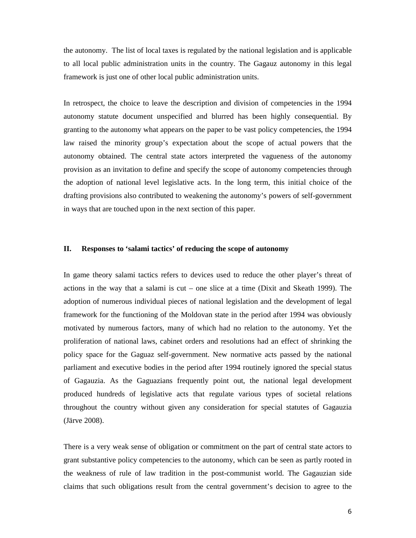the autonomy. The list of local taxes is regulated by the national legislation and is applicable to all local public administration units in the country. The Gagauz autonomy in this legal framework is just one of other local public administration units.

In retrospect, the choice to leave the description and division of competencies in the 1994 autonomy statute document unspecified and blurred has been highly consequential. By granting to the autonomy what appears on the paper to be vast policy competencies, the 1994 law raised the minority group's expectation about the scope of actual powers that the autonomy obtained. The central state actors interpreted the vagueness of the autonomy provision as an invitation to define and specify the scope of autonomy competencies through the adoption of national level legislative acts. In the long term, this initial choice of the drafting provisions also contributed to weakening the autonomy's powers of self-government in ways that are touched upon in the next section of this paper.

## **II. Responses to 'salami tactics' of reducing the scope of autonomy**

In game theory salami tactics refers to devices used to reduce the other player's threat of actions in the way that a salami is cut – one slice at a time (Dixit and Skeath 1999). The adoption of numerous individual pieces of national legislation and the development of legal framework for the functioning of the Moldovan state in the period after 1994 was obviously motivated by numerous factors, many of which had no relation to the autonomy. Yet the proliferation of national laws, cabinet orders and resolutions had an effect of shrinking the policy space for the Gaguaz self-government. New normative acts passed by the national parliament and executive bodies in the period after 1994 routinely ignored the special status of Gagauzia. As the Gaguazians frequently point out, the national legal development produced hundreds of legislative acts that regulate various types of societal relations throughout the country without given any consideration for special statutes of Gagauzia (Järve 2008).

There is a very weak sense of obligation or commitment on the part of central state actors to grant substantive policy competencies to the autonomy, which can be seen as partly rooted in the weakness of rule of law tradition in the post-communist world. The Gagauzian side claims that such obligations result from the central government's decision to agree to the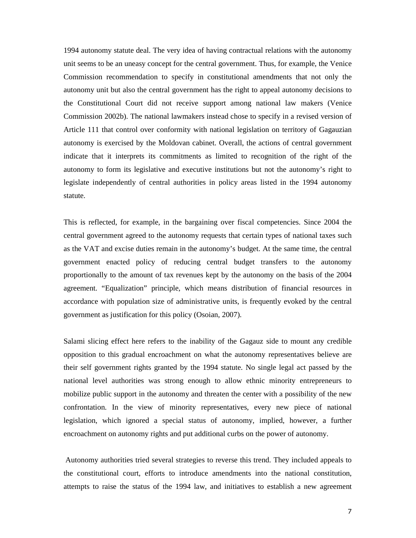1994 autonomy statute deal. The very idea of having contractual relations with the autonomy unit seems to be an uneasy concept for the central government. Thus, for example, the Venice Commission recommendation to specify in constitutional amendments that not only the autonomy unit but also the central government has the right to appeal autonomy decisions to the Constitutional Court did not receive support among national law makers (Venice Commission 2002b). The national lawmakers instead chose to specify in a revised version of Article 111 that control over conformity with national legislation on territory of Gagauzian autonomy is exercised by the Moldovan cabinet. Overall, the actions of central government indicate that it interprets its commitments as limited to recognition of the right of the autonomy to form its legislative and executive institutions but not the autonomy's right to legislate independently of central authorities in policy areas listed in the 1994 autonomy statute.

This is reflected, for example, in the bargaining over fiscal competencies. Since 2004 the central government agreed to the autonomy requests that certain types of national taxes such as the VAT and excise duties remain in the autonomy's budget. At the same time, the central government enacted policy of reducing central budget transfers to the autonomy proportionally to the amount of tax revenues kept by the autonomy on the basis of the 2004 agreement. "Equalization" principle, which means distribution of financial resources in accordance with population size of administrative units, is frequently evoked by the central government as justification for this policy (Osoian, 2007).

Salami slicing effect here refers to the inability of the Gagauz side to mount any credible opposition to this gradual encroachment on what the autonomy representatives believe are their self government rights granted by the 1994 statute. No single legal act passed by the national level authorities was strong enough to allow ethnic minority entrepreneurs to mobilize public support in the autonomy and threaten the center with a possibility of the new confrontation. In the view of minority representatives, every new piece of national legislation, which ignored a special status of autonomy, implied, however, a further encroachment on autonomy rights and put additional curbs on the power of autonomy.

 Autonomy authorities tried several strategies to reverse this trend. They included appeals to the constitutional court, efforts to introduce amendments into the national constitution, attempts to raise the status of the 1994 law, and initiatives to establish a new agreement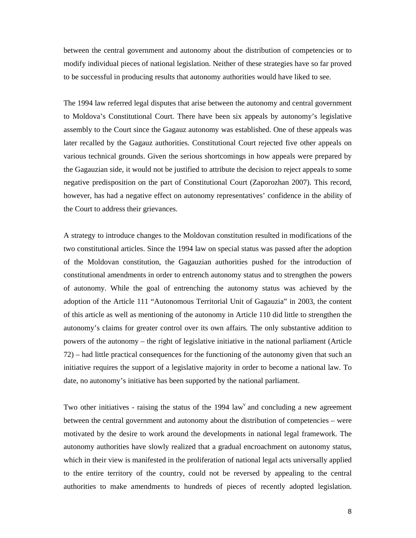between the central government and autonomy about the distribution of competencies or to modify individual pieces of national legislation. Neither of these strategies have so far proved to be successful in producing results that autonomy authorities would have liked to see.

The 1994 law referred legal disputes that arise between the autonomy and central government to Moldova's Constitutional Court. There have been six appeals by autonomy's legislative assembly to the Court since the Gagauz autonomy was established. One of these appeals was later recalled by the Gagauz authorities. Constitutional Court rejected five other appeals on various technical grounds. Given the serious shortcomings in how appeals were prepared by the Gagauzian side, it would not be justified to attribute the decision to reject appeals to some negative predisposition on the part of Constitutional Court (Zaporozhan 2007). This record, however, has had a negative effect on autonomy representatives' confidence in the ability of the Court to address their grievances.

A strategy to introduce changes to the Moldovan constitution resulted in modifications of the two constitutional articles. Since the 1994 law on special status was passed after the adoption of the Moldovan constitution, the Gagauzian authorities pushed for the introduction of constitutional amendments in order to entrench autonomy status and to strengthen the powers of autonomy. While the goal of entrenching the autonomy status was achieved by the adoption of the Article 111 "Autonomous Territorial Unit of Gagauzia" in 2003, the content of this article as well as mentioning of the autonomy in Article 110 did little to strengthen the autonomy's claims for greater control over its own affairs. The only substantive addition to powers of the autonomy – the right of legislative initiative in the national parliament (Article 72) – had little practical consequences for the functioning of the autonomy given that such an initiative requires the support of a legislative majority in order to become a national law. To date, no autonomy's initiative has been supported by the national parliament.

Two other initiatives - raising the status of the  $1994 \text{ law}^v$  and concluding a new agreement between the central government and autonomy about the distribution of competencies – were motivated by the desire to work around the developments in national legal framework. The autonomy authorities have slowly realized that a gradual encroachment on autonomy status, which in their view is manifested in the proliferation of national legal acts universally applied to the entire territory of the country, could not be reversed by appealing to the central authorities to make amendments to hundreds of pieces of recently adopted legislation.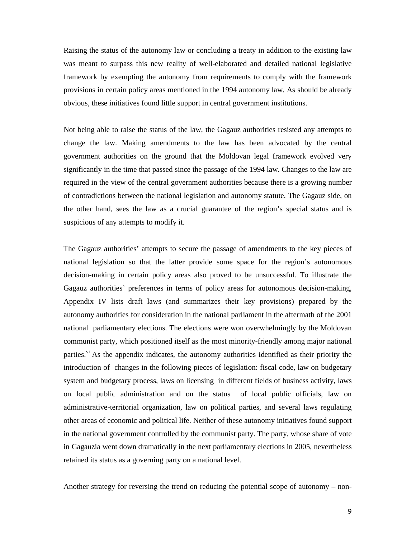Raising the status of the autonomy law or concluding a treaty in addition to the existing law was meant to surpass this new reality of well-elaborated and detailed national legislative framework by exempting the autonomy from requirements to comply with the framework provisions in certain policy areas mentioned in the 1994 autonomy law. As should be already obvious, these initiatives found little support in central government institutions.

Not being able to raise the status of the law, the Gagauz authorities resisted any attempts to change the law. Making amendments to the law has been advocated by the central government authorities on the ground that the Moldovan legal framework evolved very significantly in the time that passed since the passage of the 1994 law. Changes to the law are required in the view of the central government authorities because there is a growing number of contradictions between the national legislation and autonomy statute. The Gagauz side, on the other hand, sees the law as a crucial guarantee of the region's special status and is suspicious of any attempts to modify it.

The Gagauz authorities' attempts to secure the passage of amendments to the key pieces of national legislation so that the latter provide some space for the region's autonomous decision-making in certain policy areas also proved to be unsuccessful. To illustrate the Gagauz authorities' preferences in terms of policy areas for autonomous decision-making, Appendix IV lists draft laws (and summarizes their key provisions) prepared by the autonomy authorities for consideration in the national parliament in the aftermath of the 2001 national parliamentary elections. The elections were won overwhelmingly by the Moldovan communist party, which positioned itself as the most minority-friendly among major national parties.<sup>v<sub>1</sub></sup> As the appendix indicates, the autonomy authorities identified as their priority the introduction of changes in the following pieces of legislation: fiscal code, law on budgetary system and budgetary process, laws on licensing in different fields of business activity, laws on local public administration and on the status of local public officials, law on administrative-territorial organization, law on political parties, and several laws regulating other areas of economic and political life. Neither of these autonomy initiatives found support in the national government controlled by the communist party. The party, whose share of vote in Gagauzia went down dramatically in the next parliamentary elections in 2005, nevertheless retained its status as a governing party on a national level.

Another strategy for reversing the trend on reducing the potential scope of autonomy – non-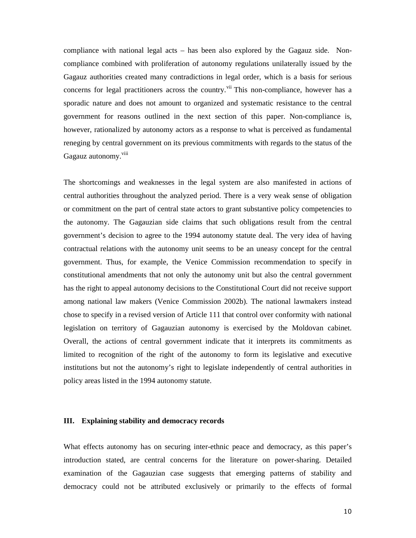compliance with national legal acts – has been also explored by the Gagauz side. Noncompliance combined with proliferation of autonomy regulations unilaterally issued by the Gagauz authorities created many contradictions in legal order, which is a basis for serious concerns for legal practitioners across the country. Vii This non-compliance, however has a sporadic nature and does not amount to organized and systematic resistance to the central government for reasons outlined in the next section of this paper. Non-compliance is, however, rationalized by autonomy actors as a response to what is perceived as fundamental reneging by central government on its previous commitments with regards to the status of the Gagauz autonomy.<sup>viii</sup>

The shortcomings and weaknesses in the legal system are also manifested in actions of central authorities throughout the analyzed period. There is a very weak sense of obligation or commitment on the part of central state actors to grant substantive policy competencies to the autonomy. The Gagauzian side claims that such obligations result from the central government's decision to agree to the 1994 autonomy statute deal. The very idea of having contractual relations with the autonomy unit seems to be an uneasy concept for the central government. Thus, for example, the Venice Commission recommendation to specify in constitutional amendments that not only the autonomy unit but also the central government has the right to appeal autonomy decisions to the Constitutional Court did not receive support among national law makers (Venice Commission 2002b). The national lawmakers instead chose to specify in a revised version of Article 111 that control over conformity with national legislation on territory of Gagauzian autonomy is exercised by the Moldovan cabinet. Overall, the actions of central government indicate that it interprets its commitments as limited to recognition of the right of the autonomy to form its legislative and executive institutions but not the autonomy's right to legislate independently of central authorities in policy areas listed in the 1994 autonomy statute.

#### **III. Explaining stability and democracy records**

What effects autonomy has on securing inter-ethnic peace and democracy, as this paper's introduction stated, are central concerns for the literature on power-sharing. Detailed examination of the Gagauzian case suggests that emerging patterns of stability and democracy could not be attributed exclusively or primarily to the effects of formal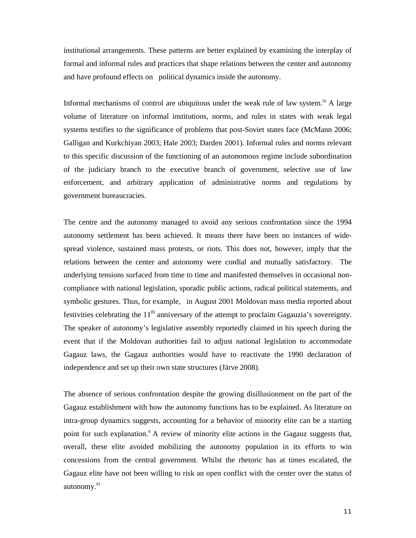institutional arrangements. These patterns are better explained by examining the interplay of formal and informal rules and practices that shape relations between the center and autonomy and have profound effects on political dynamics inside the autonomy.

Informal mechanisms of control are ubiquitous under the weak rule of law system.<sup>1x</sup> A large volume of literature on informal institutions, norms, and rules in states with weak legal systems testifies to the significance of problems that post-Soviet states face (McMann 2006; Galligan and Kurkchiyan 2003; Hale 2003; Darden 2001). Informal rules and norms relevant to this specific discussion of the functioning of an autonomous regime include subordination of the judiciary branch to the executive branch of government, selective use of law enforcement, and arbitrary application of administrative norms and regulations by government bureaucracies.

The centre and the autonomy managed to avoid any serious confrontation since the 1994 autonomy settlement has been achieved. It means there have been no instances of widespread violence, sustained mass protests, or riots. This does not, however, imply that the relations between the center and autonomy were cordial and mutually satisfactory. The underlying tensions surfaced from time to time and manifested themselves in occasional noncompliance with national legislation, sporadic public actions, radical political statements, and symbolic gestures. Thus, for example, in August 2001 Moldovan mass media reported about festivities celebrating the  $11<sup>th</sup>$  anniversary of the attempt to proclaim Gagauzia's sovereignty. The speaker of autonomy's legislative assembly reportedly claimed in his speech during the event that if the Moldovan authorities fail to adjust national legislation to accommodate Gagauz laws, the Gagauz authorities would have to reactivate the 1990 declaration of independence and set up their own state structures (Järve 2008).

The absence of serious confrontation despite the growing disillusionment on the part of the Gagauz establishment with how the autonomy functions has to be explained. As literature on intra-group dynamics suggests, accounting for a behavior of minority elite can be a starting point for such explanation.<sup>x</sup> A review of minority elite actions in the Gagauz suggests that, overall, these elite avoided mobilizing the autonomy population in its efforts to win concessions from the central government. Whilst the rhetoric has at times escalated, the Gagauz elite have not been willing to risk an open conflict with the center over the status of autonomy.<sup>xi</sup>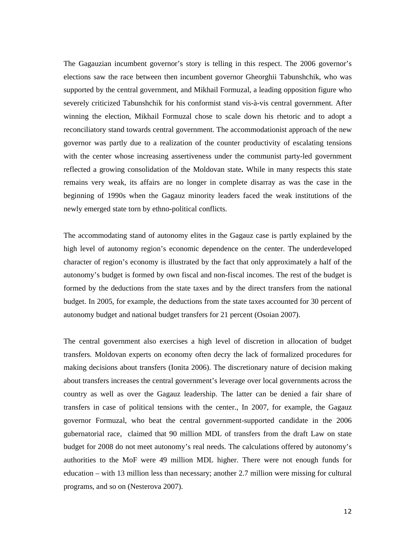The Gagauzian incumbent governor's story is telling in this respect. The 2006 governor's elections saw the race between then incumbent governor Gheorghii Tabunshchik, who was supported by the central government, and Mikhail Formuzal, a leading opposition figure who severely criticized Tabunshchik for his conformist stand vis-à-vis central government. After winning the election, Mikhail Formuzal chose to scale down his rhetoric and to adopt a reconciliatory stand towards central government. The accommodationist approach of the new governor was partly due to a realization of the counter productivity of escalating tensions with the center whose increasing assertiveness under the communist party-led government reflected a growing consolidation of the Moldovan state**.** While in many respects this state remains very weak, its affairs are no longer in complete disarray as was the case in the beginning of 1990s when the Gagauz minority leaders faced the weak institutions of the newly emerged state torn by ethno-political conflicts.

The accommodating stand of autonomy elites in the Gagauz case is partly explained by the high level of autonomy region's economic dependence on the center. The underdeveloped character of region's economy is illustrated by the fact that only approximately a half of the autonomy's budget is formed by own fiscal and non-fiscal incomes. The rest of the budget is formed by the deductions from the state taxes and by the direct transfers from the national budget. In 2005, for example, the deductions from the state taxes accounted for 30 percent of autonomy budget and national budget transfers for 21 percent (Osoian 2007).

The central government also exercises a high level of discretion in allocation of budget transfers. Moldovan experts on economy often decry the lack of formalized procedures for making decisions about transfers (Ionita 2006). The discretionary nature of decision making about transfers increases the central government's leverage over local governments across the country as well as over the Gagauz leadership. The latter can be denied a fair share of transfers in case of political tensions with the center., In 2007, for example, the Gagauz governor Formuzal, who beat the central government-supported candidate in the 2006 gubernatorial race, claimed that 90 million MDL of transfers from the draft Law on state budget for 2008 do not meet autonomy's real needs. The calculations offered by autonomy's authorities to the MoF were 49 million MDL higher. There were not enough funds for education – with 13 million less than necessary; another 2.7 million were missing for cultural programs, and so on (Nesterova 2007).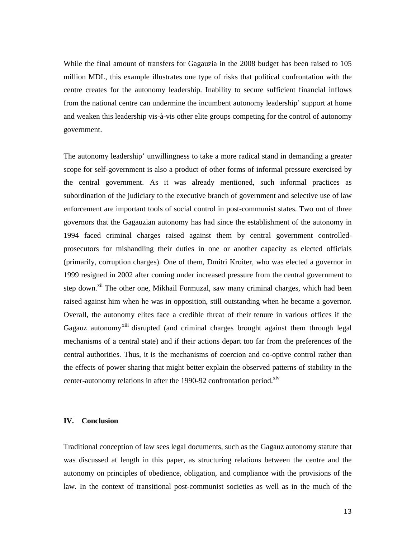While the final amount of transfers for Gagauzia in the 2008 budget has been raised to 105 million MDL, this example illustrates one type of risks that political confrontation with the centre creates for the autonomy leadership. Inability to secure sufficient financial inflows from the national centre can undermine the incumbent autonomy leadership' support at home and weaken this leadership vis-à-vis other elite groups competing for the control of autonomy government.

The autonomy leadership' unwillingness to take a more radical stand in demanding a greater scope for self-government is also a product of other forms of informal pressure exercised by the central government. As it was already mentioned, such informal practices as subordination of the judiciary to the executive branch of government and selective use of law enforcement are important tools of social control in post-communist states. Two out of three governors that the Gagauzian autonomy has had since the establishment of the autonomy in 1994 faced criminal charges raised against them by central government controlledprosecutors for mishandling their duties in one or another capacity as elected officials (primarily, corruption charges). One of them, Dmitri Kroiter, who was elected a governor in 1999 resigned in 2002 after coming under increased pressure from the central government to step down.<sup>xii</sup> The other one, Mikhail Formuzal, saw many criminal charges, which had been raised against him when he was in opposition, still outstanding when he became a governor. Overall, the autonomy elites face a credible threat of their tenure in various offices if the Gagauz autonomy<sup>xiii</sup> disrupted (and criminal charges brought against them through legal mechanisms of a central state) and if their actions depart too far from the preferences of the central authorities. Thus, it is the mechanisms of coercion and co-optive control rather than the effects of power sharing that might better explain the observed patterns of stability in the center-autonomy relations in after the 1990-92 confrontation period.<sup>xiv</sup>

#### **IV. Conclusion**

Traditional conception of law sees legal documents, such as the Gagauz autonomy statute that was discussed at length in this paper, as structuring relations between the centre and the autonomy on principles of obedience, obligation, and compliance with the provisions of the law. In the context of transitional post-communist societies as well as in the much of the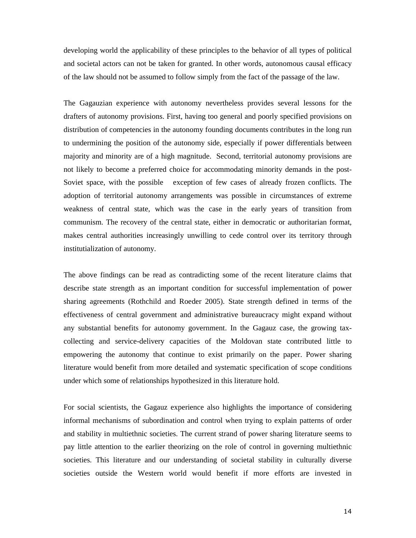developing world the applicability of these principles to the behavior of all types of political and societal actors can not be taken for granted. In other words, autonomous causal efficacy of the law should not be assumed to follow simply from the fact of the passage of the law.

The Gagauzian experience with autonomy nevertheless provides several lessons for the drafters of autonomy provisions. First, having too general and poorly specified provisions on distribution of competencies in the autonomy founding documents contributes in the long run to undermining the position of the autonomy side, especially if power differentials between majority and minority are of a high magnitude. Second, territorial autonomy provisions are not likely to become a preferred choice for accommodating minority demands in the post-Soviet space, with the possible exception of few cases of already frozen conflicts. The adoption of territorial autonomy arrangements was possible in circumstances of extreme weakness of central state, which was the case in the early years of transition from communism. The recovery of the central state, either in democratic or authoritarian format, makes central authorities increasingly unwilling to cede control over its territory through institutialization of autonomy.

The above findings can be read as contradicting some of the recent literature claims that describe state strength as an important condition for successful implementation of power sharing agreements (Rothchild and Roeder 2005). State strength defined in terms of the effectiveness of central government and administrative bureaucracy might expand without any substantial benefits for autonomy government. In the Gagauz case, the growing taxcollecting and service-delivery capacities of the Moldovan state contributed little to empowering the autonomy that continue to exist primarily on the paper. Power sharing literature would benefit from more detailed and systematic specification of scope conditions under which some of relationships hypothesized in this literature hold.

For social scientists, the Gagauz experience also highlights the importance of considering informal mechanisms of subordination and control when trying to explain patterns of order and stability in multiethnic societies. The current strand of power sharing literature seems to pay little attention to the earlier theorizing on the role of control in governing multiethnic societies. This literature and our understanding of societal stability in culturally diverse societies outside the Western world would benefit if more efforts are invested in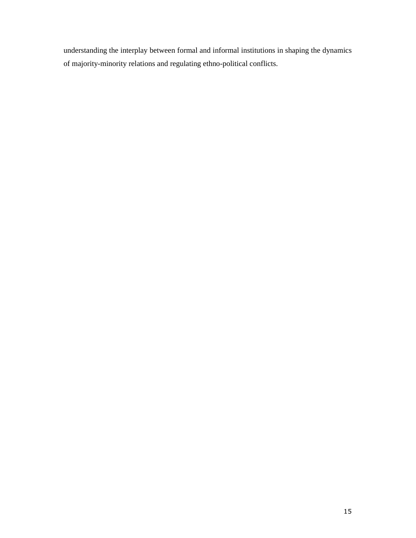understanding the interplay between formal and informal institutions in shaping the dynamics of majority-minority relations and regulating ethno-political conflicts.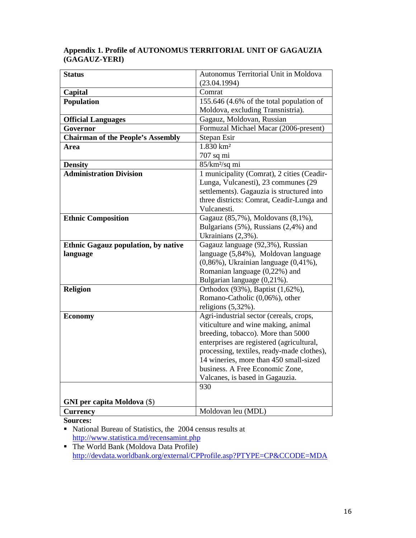# **Appendix 1. Profile of AUTONOMUS TERRITORIAL UNIT OF GAGAUZIA (GAGAUZ-YERI)**

| <b>Status</b>                              | Autonomus Territorial Unit in Moldova                                          |
|--------------------------------------------|--------------------------------------------------------------------------------|
|                                            | (23.04.1994)                                                                   |
| Capital                                    | Comrat                                                                         |
| <b>Population</b>                          | 155.646 (4.6% of the total population of                                       |
|                                            | Moldova, excluding Transnistria).                                              |
| <b>Official Languages</b>                  | Gagauz, Moldovan, Russian                                                      |
| Governor                                   | Formuzal Michael Macar (2006-present)                                          |
| <b>Chairman of the People's Assembly</b>   | Stepan Esir                                                                    |
| Area                                       | $1.830 \text{ km}^2$                                                           |
|                                            | 707 sq mi                                                                      |
| <b>Density</b>                             | 85/km <sup>2</sup> /sq mi                                                      |
| <b>Administration Division</b>             | 1 municipality (Comrat), 2 cities (Ceadir-                                     |
|                                            | Lunga, Vulcanesti), 23 communes (29                                            |
|                                            | settlements). Gagauzia is structured into                                      |
|                                            | three districts: Comrat, Ceadir-Lunga and                                      |
|                                            | Vulcanesti.                                                                    |
| <b>Ethnic Composition</b>                  | Gagauz (85,7%), Moldovans (8,1%),                                              |
|                                            | Bulgarians (5%), Russians (2,4%) and                                           |
|                                            | Ukrainians (2,3%).                                                             |
| <b>Ethnic Gagauz population, by native</b> | Gagauz language (92,3%), Russian                                               |
| language                                   | language (5,84%), Moldovan language                                            |
|                                            | $(0,86\%)$ , Ukrainian language $(0,41\%)$ ,                                   |
|                                            | Romanian language (0,22%) and                                                  |
|                                            | Bulgarian language (0,21%).                                                    |
| <b>Religion</b>                            | Orthodox (93%), Baptist (1,62%),                                               |
|                                            | Romano-Catholic (0,06%), other                                                 |
|                                            | religions $(5,32\%)$ .                                                         |
| <b>Economy</b>                             | Agri-industrial sector (cereals, crops,<br>viticulture and wine making, animal |
|                                            | breeding, tobacco). More than 5000                                             |
|                                            | enterprises are registered (agricultural,                                      |
|                                            | processing, textiles, ready-made clothes),                                     |
|                                            | 14 wineries, more than 450 small-sized                                         |
|                                            | business. A Free Economic Zone,                                                |
|                                            | Valcanes, is based in Gagauzia.                                                |
|                                            | 930                                                                            |
|                                            |                                                                                |
| <b>GNI</b> per capita Moldova (\$)         |                                                                                |
| <b>Currency</b>                            | Moldovan leu (MDL)                                                             |

**Sources:** 

• National Bureau of Statistics, the 2004 census results at http://www.statistica.md/recensamint.php

 The World Bank (Moldova Data Profile) http://devdata.worldbank.org/external/CPProfile.asp?PTYPE=CP&CCODE=MDA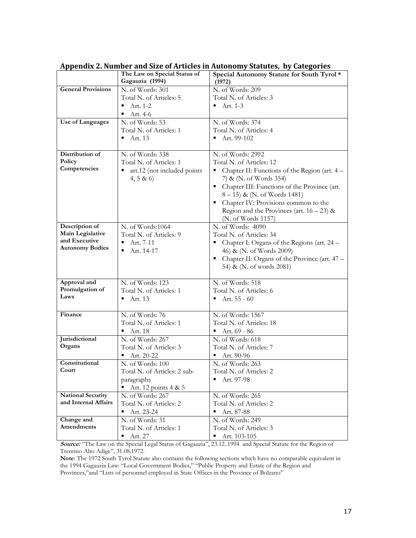|                                    |                                                 | Appendix 2. Number and size of Articles in Addonomy Statutes, by Categories |
|------------------------------------|-------------------------------------------------|-----------------------------------------------------------------------------|
|                                    | The Law on Special Status of<br>Gagauzia (1994) | Special Autonomy Statute for South Tyrol *<br>(1972)                        |
| <b>General Provisions</b>          | N. of Words: 301                                | N. of Words: 209                                                            |
|                                    | Total N. of Articles: 5                         | Total N. of Articles: 3                                                     |
|                                    | Art. 1-2                                        | Art. 1-3                                                                    |
|                                    | Art. 4-6                                        |                                                                             |
| Use of Languages                   | N. of Words: 53                                 | N. of Words: 374                                                            |
|                                    | Total N. of Articles: 1                         | Total N. of Articles: 4                                                     |
|                                    | Art. 13                                         | Art. 99-102                                                                 |
|                                    |                                                 |                                                                             |
| Distribution of                    | N. of Words: 338                                | N. of Words: 2992                                                           |
| Policy                             | Total N. of Articles: 1                         | Total N. of Articles: 12                                                    |
| Competencies                       | art.12 (not included points                     | Chapter II: Functions of the Region (art. 4 -                               |
|                                    | 4, 5 & 6                                        | 7) & (N. of Words 354)                                                      |
|                                    |                                                 | Chapter III: Functions of the Province (art.<br>Е                           |
|                                    |                                                 | 8-15) & (N. of Words 1481)                                                  |
|                                    |                                                 | Chapter IV: Provisions common to the<br>Е                                   |
|                                    |                                                 | Region and the Provinces (art. $16 - 23$ ) &                                |
|                                    |                                                 | (N. of Words 1157)                                                          |
|                                    |                                                 |                                                                             |
| Description of<br>Main Legislative | N. of Words:1064                                | N. of Words: 4090                                                           |
| and Executive                      | Total N. of Articles: 9                         | Total N. of Articles: 34                                                    |
| <b>Autonomy Bodies</b>             | Art. 7-11                                       | Chapter I: Organs of the Regions (art. 24 –                                 |
|                                    | Art. 14-17                                      | 46) & (N. of Words 2009)                                                    |
|                                    |                                                 | Chapter II: Organs of the Province (art. 47 -                               |
|                                    |                                                 | 54) & (N. of words 2081)                                                    |
| Approval and                       | N. of Words: 123                                | N. of Words: 518                                                            |
| Promulgation of                    |                                                 |                                                                             |
| Laws                               | Total N. of Articles: 1                         | Total N. of Articles: 6                                                     |
|                                    | Art. 13                                         | Art. 55 - 60                                                                |
| Finance                            | N. of Words: 76                                 | N. of Words: 1567                                                           |
|                                    | Total N. of Articles: 1                         | Total N. of Articles: 18                                                    |
|                                    | Art. 18<br>٠                                    | Art. 69 - 86<br>٠                                                           |
| Jurisdictional                     | N. of Words: 267                                | N. of Words: 618                                                            |
| Organs                             | Total N. of Articles: 3                         | Total N. of Articles: 7                                                     |
|                                    | $Art. 20-22$                                    | Art. 90-96                                                                  |
| Constitutional                     | N. of Words: 100                                | N. of Words: 263                                                            |
| Court                              | Total N. of Articles: 2 sub-                    | Total N. of Articles: 2                                                     |
|                                    | paragraphs                                      | Art. 97-98                                                                  |
|                                    | Art. 12 points $4 & 5$                          |                                                                             |
| <b>National Security</b>           | N. of Words: 267                                | N. of Words: 265                                                            |
| and Internal Affairs               | Total N. of Articles: 2                         | Total N. of Articles: 2                                                     |
|                                    |                                                 | $\blacksquare$                                                              |
|                                    | Art. 23-24<br>$\blacksquare$                    | Art. 87-88                                                                  |
| Change and<br>Amendments           | N. of Words: 31                                 | N. of Words: 249                                                            |
|                                    | Total N. of Articles: 1                         | Total N. of Articles: 3                                                     |
|                                    | Art. 27<br>$\blacksquare$                       | Art. 103-105<br>$\blacksquare$                                              |

Appendix 2. Number and Size of Articles in Autonomy Statutes, by Categories

Source: "The Law on the Special Legal Status of Gagauzia", 23.12..1994 and Special Statute for the Region of Trentino Alto Adige", 31.08.1972.

Note: The 1972 South Tyrol Statute also contains the following sections which have no comparable equivalent in the 1994 Gagauzia Law: "Local Government Bodies," "Public Property and Estate of the Region and Provinces,"and "Lists of personnel employed in State Offices in the Province of Bolzano"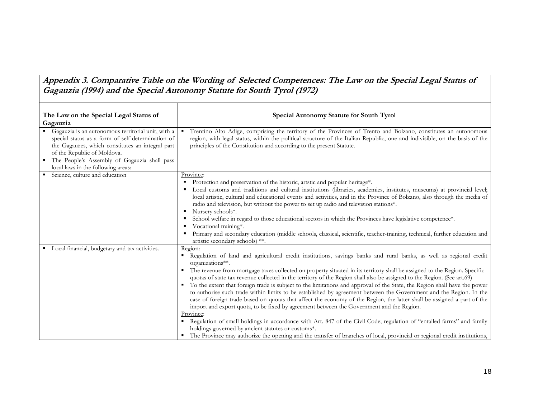Appendix 3. Comparative Table on the Wording of Selected Competences: The Law on the Special Legal Status of Gagauzia (1994) and the Special Autonomy Statute for South Tyrol (1972)

| The Law on the Special Legal Status of<br>Gagauzia                                                                                                                                                                                         | Special Autonomy Statute for South Tyrol                                                                                                                                                                                                                                                                                                      |
|--------------------------------------------------------------------------------------------------------------------------------------------------------------------------------------------------------------------------------------------|-----------------------------------------------------------------------------------------------------------------------------------------------------------------------------------------------------------------------------------------------------------------------------------------------------------------------------------------------|
| Gagauzia is an autonomous territorial unit, with a<br>special status as a form of self-determination of<br>the Gagauzes, which constitutes an integral part<br>of the Republic of Moldova.<br>The People's Assembly of Gagauzia shall pass | Trentino Alto Adige, comprising the territory of the Provinces of Trento and Bolzano, constitutes an autonomous<br>region, with legal status, within the political structure of the Italian Republic, one and indivisible, on the basis of the<br>principles of the Constitution and according to the present Statute.                        |
| local laws in the following areas:                                                                                                                                                                                                         |                                                                                                                                                                                                                                                                                                                                               |
| Science, culture and education                                                                                                                                                                                                             | Province:                                                                                                                                                                                                                                                                                                                                     |
|                                                                                                                                                                                                                                            | Protection and preservation of the historic, artstic and popular heritage*.                                                                                                                                                                                                                                                                   |
|                                                                                                                                                                                                                                            | Local customs and traditions and cultural institutions (libraries, academies, institutes, museums) at provincial level;<br>local artistic, cultural and educational events and activities, and in the Province of Bolzano, also through the media of<br>radio and television, but without the power to set up radio and television stations*. |
|                                                                                                                                                                                                                                            | Nursery schools*.<br>٠                                                                                                                                                                                                                                                                                                                        |
|                                                                                                                                                                                                                                            | School welfare in regard to those educational sectors in which the Provinces have legislative competence*.                                                                                                                                                                                                                                    |
|                                                                                                                                                                                                                                            | Vocational training*.<br>Primary and secondary education (middle schools, classical, scientific, teacher-training, technical, further education and<br>artistic secondary schools) **.                                                                                                                                                        |
| • Local financial, budgetary and tax activities.                                                                                                                                                                                           | Region:                                                                                                                                                                                                                                                                                                                                       |
|                                                                                                                                                                                                                                            | Regulation of land and agricultural credit institutions, savings banks and rural banks, as well as regional credit<br>organizations**.                                                                                                                                                                                                        |
|                                                                                                                                                                                                                                            | The revenue from mortgage taxes collected on property situated in its territory shall be assigned to the Region. Specific<br>quotas of state tax revenue collected in the territory of the Region shall also be assigned to the Region. (See art.69)                                                                                          |
|                                                                                                                                                                                                                                            | To the extent that foreign trade is subject to the limitations and approval of the State, the Region shall have the power                                                                                                                                                                                                                     |
|                                                                                                                                                                                                                                            | to authorise such trade within limits to be established by agreement between the Government and the Region. In the                                                                                                                                                                                                                            |
|                                                                                                                                                                                                                                            | case of foreign trade based on quotas that affect the economy of the Region, the latter shall be assigned a part of the                                                                                                                                                                                                                       |
|                                                                                                                                                                                                                                            | import and export quota, to be fixed by agreement between the Government and the Region.                                                                                                                                                                                                                                                      |
|                                                                                                                                                                                                                                            | Province:                                                                                                                                                                                                                                                                                                                                     |
|                                                                                                                                                                                                                                            | Regulation of small holdings in accordance with Art. 847 of the Civil Code; regulation of "entailed farms" and family<br>holdings governed by ancient statutes or customs*.                                                                                                                                                                   |
|                                                                                                                                                                                                                                            | The Province may authorize the opening and the transfer of branches of local, provincial or regional credit institutions,                                                                                                                                                                                                                     |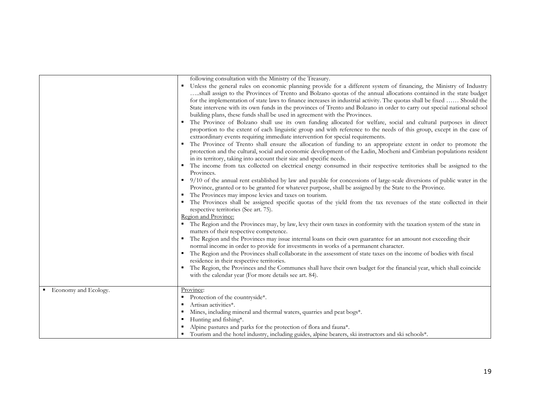|                        | following consultation with the Ministry of the Treasury.                                                                                                                                                                                                                                                                                                                                                                                                                                                                                                                                                                                                                                                                                                                                                                                                                                                                                                                                                                                                                                                                                               |
|------------------------|---------------------------------------------------------------------------------------------------------------------------------------------------------------------------------------------------------------------------------------------------------------------------------------------------------------------------------------------------------------------------------------------------------------------------------------------------------------------------------------------------------------------------------------------------------------------------------------------------------------------------------------------------------------------------------------------------------------------------------------------------------------------------------------------------------------------------------------------------------------------------------------------------------------------------------------------------------------------------------------------------------------------------------------------------------------------------------------------------------------------------------------------------------|
|                        | Unless the general rules on economic planning provide for a different system of financing, the Ministry of Industry<br>shall assign to the Provinces of Trento and Bolzano quotas of the annual allocations contained in the state budget<br>for the implementation of state laws to finance increases in industrial activity. The quotas shall be fixed  Should the<br>State intervene with its own funds in the provinces of Trento and Bolzano in order to carry out special national school<br>building plans, these funds shall be used in agreement with the Provinces.<br>The Province of Bolzano shall use its own funding allocated for welfare, social and cultural purposes in direct<br>proportion to the extent of each linguistic group and with reference to the needs of this group, except in the case of<br>extraordinary events requiring immediate intervention for special requirements.<br>The Province of Trento shall ensure the allocation of funding to an appropriate extent in order to promote the<br>protection and the cultural, social and economic development of the Ladin, Mocheni and Cimbrian populations resident |
|                        | in its territory, taking into account their size and specific needs.                                                                                                                                                                                                                                                                                                                                                                                                                                                                                                                                                                                                                                                                                                                                                                                                                                                                                                                                                                                                                                                                                    |
|                        | The income from tax collected on electrical energy consumed in their respective territories shall be assigned to the<br>Provinces.                                                                                                                                                                                                                                                                                                                                                                                                                                                                                                                                                                                                                                                                                                                                                                                                                                                                                                                                                                                                                      |
|                        | • 9/10 of the annual rent established by law and payable for concessions of large-scale diversions of public water in the<br>Province, granted or to be granted for whatever purpose, shall be assigned by the State to the Province.<br>The Provinces may impose levies and taxes on tourism.                                                                                                                                                                                                                                                                                                                                                                                                                                                                                                                                                                                                                                                                                                                                                                                                                                                          |
|                        | " The Provinces shall be assigned specific quotas of the yield from the tax revenues of the state collected in their<br>respective territories (See art. 75).                                                                                                                                                                                                                                                                                                                                                                                                                                                                                                                                                                                                                                                                                                                                                                                                                                                                                                                                                                                           |
|                        | Region and Province:<br>The Region and the Provinces may, by law, levy their own taxes in conformity with the taxation system of the state in<br>matters of their respective competence.                                                                                                                                                                                                                                                                                                                                                                                                                                                                                                                                                                                                                                                                                                                                                                                                                                                                                                                                                                |
|                        | • The Region and the Provinces may issue internal loans on their own guarantee for an amount not exceeding their<br>normal income in order to provide for investments in works of a permanent character.                                                                                                                                                                                                                                                                                                                                                                                                                                                                                                                                                                                                                                                                                                                                                                                                                                                                                                                                                |
|                        | " The Region and the Provinces shall collaborate in the assessment of state taxes on the income of bodies with fiscal<br>residence in their respective territories.                                                                                                                                                                                                                                                                                                                                                                                                                                                                                                                                                                                                                                                                                                                                                                                                                                                                                                                                                                                     |
|                        | The Region, the Provinces and the Communes shall have their own budget for the financial year, which shall coincide<br>with the calendar year (For more details see art. 84).                                                                                                                                                                                                                                                                                                                                                                                                                                                                                                                                                                                                                                                                                                                                                                                                                                                                                                                                                                           |
| ■ Economy and Ecology. | Province:                                                                                                                                                                                                                                                                                                                                                                                                                                                                                                                                                                                                                                                                                                                                                                                                                                                                                                                                                                                                                                                                                                                                               |
|                        | Protection of the countryside*.                                                                                                                                                                                                                                                                                                                                                                                                                                                                                                                                                                                                                                                                                                                                                                                                                                                                                                                                                                                                                                                                                                                         |
|                        | Artisan activities*.                                                                                                                                                                                                                                                                                                                                                                                                                                                                                                                                                                                                                                                                                                                                                                                                                                                                                                                                                                                                                                                                                                                                    |
|                        | Mines, including mineral and thermal waters, quarries and peat bogs*.                                                                                                                                                                                                                                                                                                                                                                                                                                                                                                                                                                                                                                                                                                                                                                                                                                                                                                                                                                                                                                                                                   |
|                        | Hunting and fishing*.                                                                                                                                                                                                                                                                                                                                                                                                                                                                                                                                                                                                                                                                                                                                                                                                                                                                                                                                                                                                                                                                                                                                   |
|                        | Alpine pastures and parks for the protection of flora and fauna*.                                                                                                                                                                                                                                                                                                                                                                                                                                                                                                                                                                                                                                                                                                                                                                                                                                                                                                                                                                                                                                                                                       |
|                        | " Tourism and the hotel industry, including guides, alpine bearers, ski instructors and ski schools*.                                                                                                                                                                                                                                                                                                                                                                                                                                                                                                                                                                                                                                                                                                                                                                                                                                                                                                                                                                                                                                                   |

٦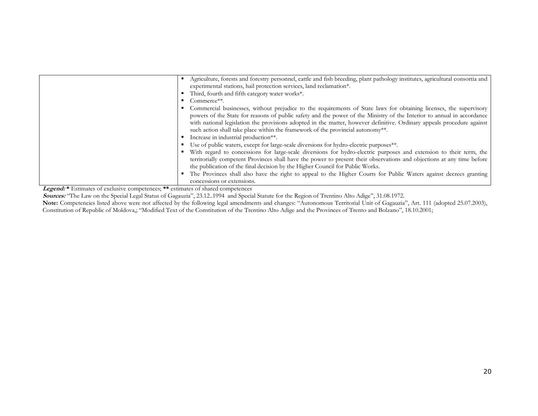| Agriculture, forests and forestry personnel, cattle and fish breeding, plant pathology institutes, agricultural consortia and<br>experimental stations, hail protection services, land reclamation*.                                                                                                                          |
|-------------------------------------------------------------------------------------------------------------------------------------------------------------------------------------------------------------------------------------------------------------------------------------------------------------------------------|
| Third, fourth and fifth category water works*.                                                                                                                                                                                                                                                                                |
| Commerce**.                                                                                                                                                                                                                                                                                                                   |
| Commercial businesses, without prejudice to the requirements of State laws for obtaining licenses, the supervisory<br>powers of the State for reasons of public safety and the power of the Ministry of the Interior to annual in accordance                                                                                  |
| with national legislation the provisions adopted in the matter, however definitive. Ordinary appeals procedure against<br>such action shall take place within the framework of the provincial autonomy <sup>**</sup> .                                                                                                        |
| Increase in industrial production**.                                                                                                                                                                                                                                                                                          |
| Use of public waters, except for large-scale diversions for hydro-electric purposes**.                                                                                                                                                                                                                                        |
| With regard to concessions for large-scale diversions for hydro-electric purposes and extension to their term, the<br>territorially competent Provinces shall have the power to present their observations and objections at any time before<br>the publication of the final decision by the Higher Council for Public Works. |
| The Provinces shall also have the right to appeal to the Higher Courts for Public Waters against decrees granting<br>concessions or extensions.                                                                                                                                                                               |

Legend: \* Estimates of exclusive competences; \*\* estimates of shared competences

Sources: "The Law on the Special Legal Status of Gagauzia", 23.12..1994 and Special Statute for the Region of Trentino Alto Adige", 31.08.1972.

Note: Competencies listed above were not affected by the following legal amendments and changes: "Autonomous Territorial Unit of Gagauzia", Art. 111 (adopted 25.07.2003), Constitution of Republic of Moldova,; "Modified Text of the Constitution of the Trentino Alto Adige and the Provinces of Trento and Bolzano", 18.10.2001;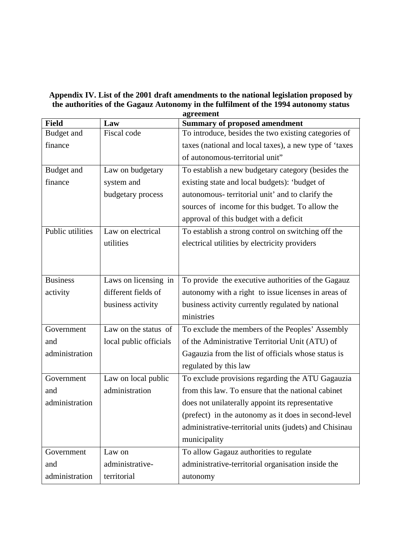# **Appendix IV. List of the 2001 draft amendments to the national legislation proposed by the authorities of the Gagauz Autonomy in the fulfilment of the 1994 autonomy status**

|                  |                        | agreement                                              |
|------------------|------------------------|--------------------------------------------------------|
| <b>Field</b>     | Law                    | <b>Summary of proposed amendment</b>                   |
| Budget and       | Fiscal code            | To introduce, besides the two existing categories of   |
| finance          |                        | taxes (national and local taxes), a new type of 'taxes |
|                  |                        | of autonomous-territorial unit"                        |
| Budget and       | Law on budgetary       | To establish a new budgetary category (besides the     |
| finance          | system and             | existing state and local budgets): 'budget of          |
|                  | budgetary process      | autonomous- territorial unit' and to clarify the       |
|                  |                        | sources of income for this budget. To allow the        |
|                  |                        | approval of this budget with a deficit                 |
| Public utilities | Law on electrical      | To establish a strong control on switching off the     |
|                  | utilities              | electrical utilities by electricity providers          |
|                  |                        |                                                        |
|                  |                        |                                                        |
| <b>Business</b>  | Laws on licensing in   | To provide the executive authorities of the Gagauz     |
| activity         | different fields of    | autonomy with a right to issue licenses in areas of    |
|                  | business activity      | business activity currently regulated by national      |
|                  |                        | ministries                                             |
| Government       | Law on the status of   | To exclude the members of the Peoples' Assembly        |
| and              | local public officials | of the Administrative Territorial Unit (ATU) of        |
| administration   |                        | Gagauzia from the list of officials whose status is    |
|                  |                        | regulated by this law                                  |
| Government       | Law on local public    | To exclude provisions regarding the ATU Gagauzia       |
| and              | administration         | from this law. To ensure that the national cabinet     |
| administration   |                        | does not unilaterally appoint its representative       |
|                  |                        | (prefect) in the autonomy as it does in second-level   |
|                  |                        | administrative-territorial units (judets) and Chisinau |
|                  |                        | municipality                                           |
| Government       | Law on                 | To allow Gagauz authorities to regulate                |
| and              | administrative-        | administrative-territorial organisation inside the     |
| administration   | territorial            | autonomy                                               |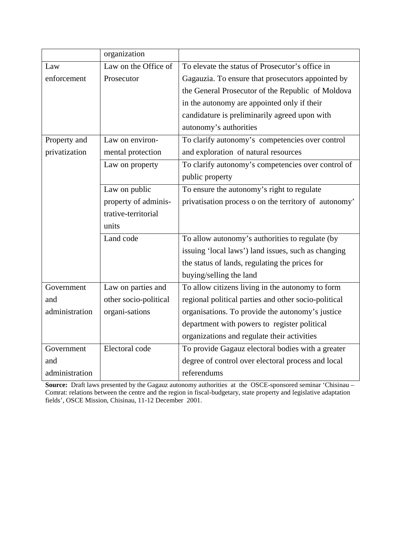|                | organization          |                                                       |
|----------------|-----------------------|-------------------------------------------------------|
| Law            | Law on the Office of  | To elevate the status of Prosecutor's office in       |
| enforcement    | Prosecutor            | Gagauzia. To ensure that prosecutors appointed by     |
|                |                       | the General Prosecutor of the Republic of Moldova     |
|                |                       | in the autonomy are appointed only if their           |
|                |                       | candidature is preliminarily agreed upon with         |
|                |                       | autonomy's authorities                                |
| Property and   | Law on environ-       | To clarify autonomy's competencies over control       |
| privatization  | mental protection     | and exploration of natural resources                  |
|                | Law on property       | To clarify autonomy's competencies over control of    |
|                |                       | public property                                       |
|                | Law on public         | To ensure the autonomy's right to regulate            |
|                | property of adminis-  | privatisation process o on the territory of autonomy' |
|                | trative-territorial   |                                                       |
|                | units                 |                                                       |
|                | Land code             | To allow autonomy's authorities to regulate (by       |
|                |                       | issuing 'local laws') land issues, such as changing   |
|                |                       | the status of lands, regulating the prices for        |
|                |                       | buying/selling the land                               |
| Government     | Law on parties and    | To allow citizens living in the autonomy to form      |
| and            | other socio-political | regional political parties and other socio-political  |
| administration | organi-sations        | organisations. To provide the autonomy's justice      |
|                |                       | department with powers to register political          |
|                |                       | organizations and regulate their activities           |
| Government     | Electoral code        | To provide Gagauz electoral bodies with a greater     |
| and            |                       | degree of control over electoral process and local    |
| administration |                       | referendums                                           |

**Source:** Draft laws presented by the Gagauz autonomy authorities at the OSCE-sponsored seminar 'Chisinau – Comrat: relations between the centre and the region in fiscal-budgetary, state property and legislative adaptation fields', OSCE Mission, Chisinau, 11-12 December 2001.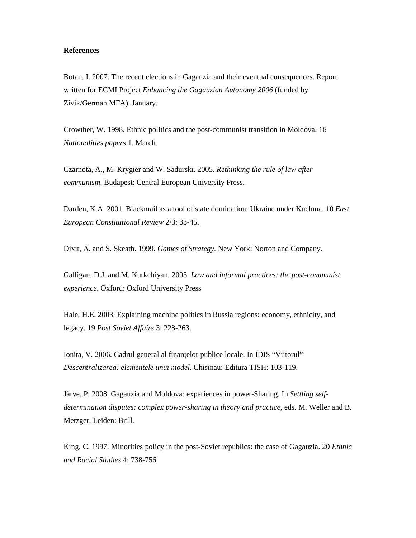### **References**

Botan, I. 2007. The recent elections in Gagauzia and their eventual consequences. Report written for ECMI Project *Enhancing the Gagauzian Autonomy 2006* (funded by Zivik/German MFA). January.

Crowther, W. 1998. Ethnic politics and the post-communist transition in Moldova. 16 *Nationalities papers* 1. March.

Czarnota, A., M. Krygier and W. Sadurski. 2005. *Rethinking the rule of law after communism*. Budapest: Central European University Press.

Darden, K.A. 2001. Blackmail as a tool of state domination: Ukraine under Kuchma. 10 *East European Constitutional Review* 2/3: 33-45.

Dixit, A. and S. Skeath. 1999. *Games of Strategy*. New York: Norton and Company.

Galligan, D.J. and M. Kurkchiyan. 2003. *Law and informal practices: the post-communist experience*. Oxford: Oxford University Press

Hale, H.E. 2003. Explaining machine politics in Russia regions: economy, ethnicity, and legacy. 19 *Post Soviet Affairs* 3: 228-263.

Ionita, V. 2006. Cadrul general al finanțelor publice locale. In IDIS "Viitorul" *Descentralizarea: elementele unui model.* Chisinau: Editura TISH: 103-119.

Järve, P. 2008. Gagauzia and Moldova: experiences in power-Sharing. In *Settling selfdetermination disputes: complex power-sharing in theory and practice*, eds. M. Weller and B. Metzger. Leiden: Brill.

King, C. 1997. Minorities policy in the post-Soviet republics: the case of Gagauzia. 20 *Ethnic and Racial Studies* 4: 738-756.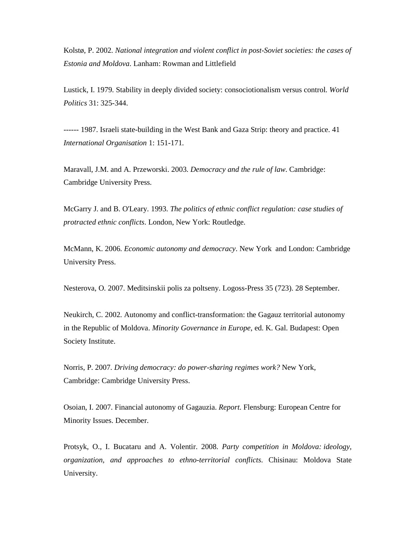Kolstø, P. 2002. *National integration and violent conflict in post-Soviet societies: the cases of Estonia and Moldova*. Lanham: Rowman and Littlefield

Lustick, I. 1979. Stability in deeply divided society: consociotionalism versus control. *World Politics* 31: 325-344.

------ 1987. Israeli state-building in the West Bank and Gaza Strip: theory and practice. 41 *International Organisation* 1: 151-171.

Maravall, J.M. and A. Przeworski. 2003. *Democracy and the rule of law*. Cambridge: Cambridge University Press.

McGarry J. and B. O'Leary. 1993. *The politics of ethnic conflict regulation: case studies of protracted ethnic conflicts*. London, New York: Routledge.

McMann, K. 2006. *Economic autonomy and democracy*. New York and London: Cambridge University Press.

Nesterova, O. 2007. Meditsinskii polis za poltseny. Logoss-Press 35 (723). 28 September.

Neukirch, C. 2002. Autonomy and conflict-transformation: the Gagauz territorial autonomy in the Republic of Moldova. *Minority Governance in Europe*, ed. K. Gal. Budapest: Open Society Institute.

Norris, P. 2007. *Driving democracy: do power-sharing regimes work?* New York, Cambridge: Cambridge University Press.

Osoian, I. 2007. Financial autonomy of Gagauzia. *Report*. Flensburg: European Centre for Minority Issues. December.

Protsyk, O., I. Bucataru and A. Volentir. 2008. *Party competition in Moldova: ideology, organization, and approaches to ethno-territorial conflicts*. Chisinau: Moldova State University.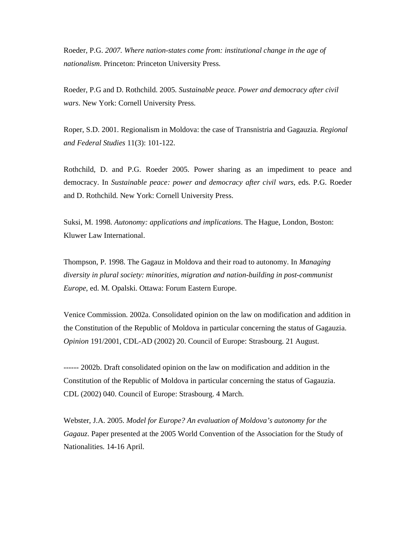Roeder*,* P.G. *2007. Where nation-states come from: institutional change in the age of nationalism*. Princeton: Princeton University Press.

Roeder, P.G and D. Rothchild. 2005. *Sustainable peace. Power and democracy after civil wars*. New York: Cornell University Press.

Roper, S.D. 2001. Regionalism in Moldova: the case of Transnistria and Gagauzia. *Regional and Federal Studies* 11(3): 101-122.

Rothchild, D. and P.G. Roeder 2005. Power sharing as an impediment to peace and democracy. In *Sustainable peace: power and democracy after civil wars*, eds. P.G. Roeder and D. Rothchild. New York: Cornell University Press.

Suksi, M. 1998. *Autonomy: applications and implications*. The Hague, London, Boston: Kluwer Law International.

Thompson, P. 1998. The Gagauz in Moldova and their road to autonomy. In *Managing diversity in plural society: minorities, migration and nation-building in post-communist Europe*, ed. M. Opalski. Ottawa: Forum Eastern Europe.

Venice Commission. 2002a. Consolidated opinion on the law on modification and addition in the Constitution of the Republic of Moldova in particular concerning the status of Gagauzia. *Opinion* 191/2001, CDL-AD (2002) 20. Council of Europe: Strasbourg. 21 August.

------ 2002b. Draft consolidated opinion on the law on modification and addition in the Constitution of the Republic of Moldova in particular concerning the status of Gagauzia. CDL (2002) 040. Council of Europe: Strasbourg. 4 March.

Webster, J.A. 2005. *Model for Europe? An evaluation of Moldova's autonomy for the Gagauz*. Paper presented at the 2005 World Convention of the Association for the Study of Nationalities. 14-16 April.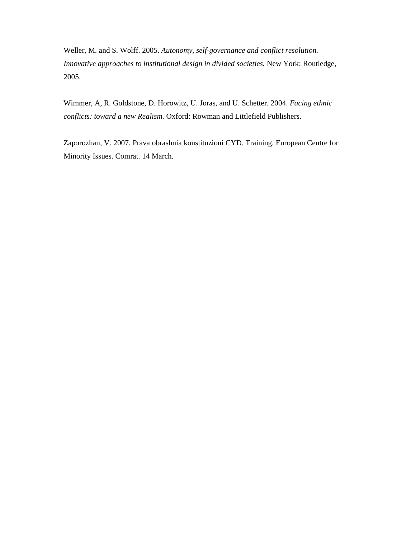Weller, M. and S. Wolff. 2005. *Autonomy, self-governance and conflict resolution. Innovative approaches to institutional design in divided societies.* New York: Routledge, 2005.

Wimmer, A, R. Goldstone, D. Horowitz, U. Joras, and U. Schetter. 2004. *Facing ethnic conflicts: toward a new Realism*. Oxford: Rowman and Littlefield Publishers.

Zaporozhan, V. 2007. Prava obrashnia konstituzioni CYD. Training. European Centre for Minority Issues. Comrat. 14 March.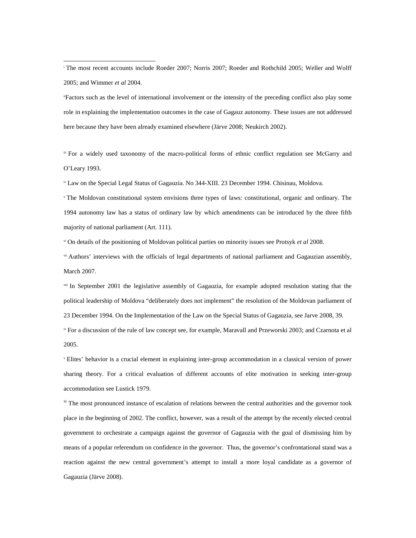1

iiFactors such as the level of international involvement or the intensity of the preceding conflict also play some role in explaining the implementation outcomes in the case of Gagauz autonomy. These issues are not addressed here because they have been already examined elsewhere (Järve 2008; Neukirch 2002).

iii For a widely used taxonomy of the macro-political forms of ethnic conflict regulation see McGarry and O'Leary 1993.

iv Law on the Special Legal Status of Gagauzia. No 344-XIII. 23 December 1994. Chisinau, Moldova.

v The Moldovan constitutional system envisions three types of laws: constitutional, organic and ordinary. The 1994 autonomy law has a status of ordinary law by which amendments can be introduced by the three fifth majority of national parliament (Art. 111).

vi On details of the positioning of Moldovan political parties on minority issues see Protsyk *et al* 2008.

vii Authors' interviews with the officials of legal departments of national parliament and Gagauzian assembly, March 2007.

viii In September 2001 the legislative assembly of Gagauzia, for example adopted resolution stating that the political leadership of Moldova "deliberately does not implement" the resolution of the Moldovan parliament of 23 December 1994. On the Implementation of the Law on the Special Status of Gagauzia, see Jarve 2008, 39.

<sup>ix</sup> For a discussion of the rule of law concept see, for example, Maravall and Przeworski 2003; and Czarnota et al 2005.

x Elites' behavior is a crucial element in explaining inter-group accommodation in a classical version of power sharing theory. For a critical evaluation of different accounts of elite motivation in seeking inter-group accommodation see Lustick 1979.

 $x_i$  The most pronounced instance of escalation of relations between the central authorities and the governor took place in the beginning of 2002. The conflict, however, was a result of the attempt by the recently elected central government to orchestrate a campaign against the governor of Gagauzia with the goal of dismissing him by means of a popular referendum on confidence in the governor. Thus, the governor's confrontational stand was a reaction against the new central government's attempt to install a more loyal candidate as a governor of Gagauzia (Järve 2008).

i The most recent accounts include Roeder 2007; Norris 2007; Roeder and Rothchild 2005; Weller and Wolff 2005; and Wimmer *et al* 2004.